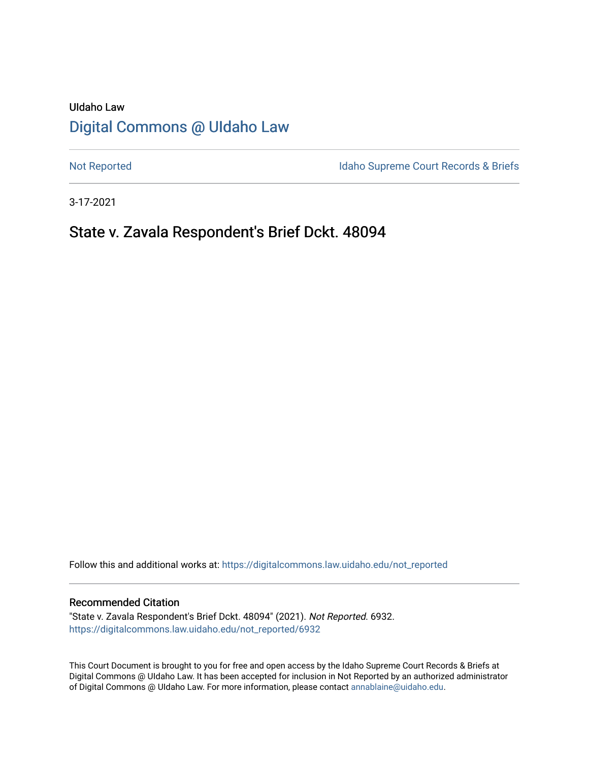# UIdaho Law [Digital Commons @ UIdaho Law](https://digitalcommons.law.uidaho.edu/)

[Not Reported](https://digitalcommons.law.uidaho.edu/not_reported) **Idaho Supreme Court Records & Briefs** 

3-17-2021

## State v. Zavala Respondent's Brief Dckt. 48094

Follow this and additional works at: [https://digitalcommons.law.uidaho.edu/not\\_reported](https://digitalcommons.law.uidaho.edu/not_reported?utm_source=digitalcommons.law.uidaho.edu%2Fnot_reported%2F6932&utm_medium=PDF&utm_campaign=PDFCoverPages) 

#### Recommended Citation

"State v. Zavala Respondent's Brief Dckt. 48094" (2021). Not Reported. 6932. [https://digitalcommons.law.uidaho.edu/not\\_reported/6932](https://digitalcommons.law.uidaho.edu/not_reported/6932?utm_source=digitalcommons.law.uidaho.edu%2Fnot_reported%2F6932&utm_medium=PDF&utm_campaign=PDFCoverPages)

This Court Document is brought to you for free and open access by the Idaho Supreme Court Records & Briefs at Digital Commons @ UIdaho Law. It has been accepted for inclusion in Not Reported by an authorized administrator of Digital Commons @ UIdaho Law. For more information, please contact [annablaine@uidaho.edu](mailto:annablaine@uidaho.edu).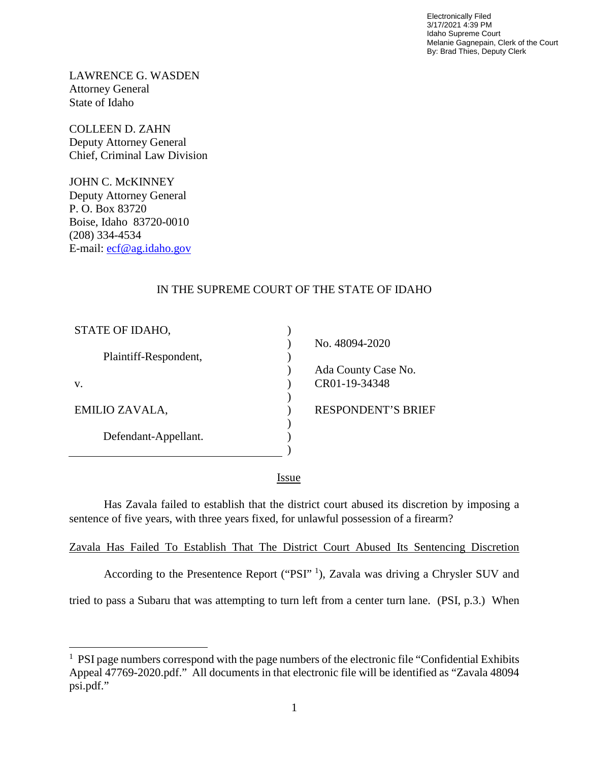Electronically Filed 3/17/2021 4:39 PM Idaho Supreme Court Melanie Gagnepain, Clerk of the Court By: Brad Thies, Deputy Clerk

LAWRENCE G. WASDEN Attorney General State of Idaho

COLLEEN D. ZAHN Deputy Attorney General Chief, Criminal Law Division

JOHN C. McKINNEY Deputy Attorney General P. O. Box 83720 Boise, Idaho 83720-0010 (208) 334-4534 E-mail: [ecf@ag.idaho.gov](mailto:ecf@ag.idaho.gov)

l

### IN THE SUPREME COURT OF THE STATE OF IDAHO

| STATE OF IDAHO,       |                           |
|-----------------------|---------------------------|
|                       | No. 48094-2020            |
| Plaintiff-Respondent, |                           |
|                       | Ada County Case No.       |
| V.                    | CR01-19-34348             |
|                       |                           |
| EMILIO ZAVALA,        | <b>RESPONDENT'S BRIEF</b> |
|                       |                           |
| Defendant-Appellant.  |                           |
|                       |                           |
|                       |                           |

<u>Issue</u>

Has Zavala failed to establish that the district court abused its discretion by imposing a sentence of five years, with three years fixed, for unlawful possession of a firearm?

Zavala Has Failed To Establish That The District Court Abused Its Sentencing Discretion

According to the Presentence Report ("PSI"<sup>[1](#page-1-0)</sup>), Zavala was driving a Chrysler SUV and

tried to pass a Subaru that was attempting to turn left from a center turn lane. (PSI, p.3.) When

<span id="page-1-0"></span><sup>&</sup>lt;sup>1</sup> PSI page numbers correspond with the page numbers of the electronic file "Confidential Exhibits" Appeal 47769-2020.pdf." All documents in that electronic file will be identified as "Zavala 48094 psi.pdf."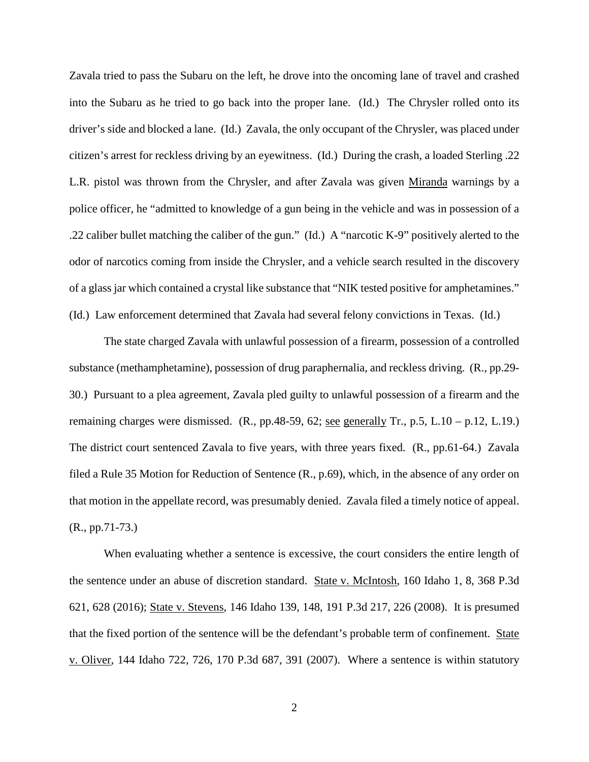Zavala tried to pass the Subaru on the left, he drove into the oncoming lane of travel and crashed into the Subaru as he tried to go back into the proper lane. (Id.) The Chrysler rolled onto its driver's side and blocked a lane. (Id.) Zavala, the only occupant of the Chrysler, was placed under citizen's arrest for reckless driving by an eyewitness. (Id.) During the crash, a loaded Sterling .22 L.R. pistol was thrown from the Chrysler, and after Zavala was given Miranda warnings by a police officer, he "admitted to knowledge of a gun being in the vehicle and was in possession of a .22 caliber bullet matching the caliber of the gun." (Id.) A "narcotic K-9" positively alerted to the odor of narcotics coming from inside the Chrysler, and a vehicle search resulted in the discovery of a glass jar which contained a crystal like substance that "NIK tested positive for amphetamines." (Id.) Law enforcement determined that Zavala had several felony convictions in Texas. (Id.)

The state charged Zavala with unlawful possession of a firearm, possession of a controlled substance (methamphetamine), possession of drug paraphernalia, and reckless driving. (R., pp.29- 30.) Pursuant to a plea agreement, Zavala pled guilty to unlawful possession of a firearm and the remaining charges were dismissed. (R., pp.48-59, 62; see generally Tr., p.5, L.10 – p.12, L.19.) The district court sentenced Zavala to five years, with three years fixed. (R., pp.61-64.) Zavala filed a Rule 35 Motion for Reduction of Sentence (R., p.69), which, in the absence of any order on that motion in the appellate record, was presumably denied. Zavala filed a timely notice of appeal. (R., pp.71-73.)

When evaluating whether a sentence is excessive, the court considers the entire length of the sentence under an abuse of discretion standard. State v. McIntosh, 160 Idaho 1, 8, 368 P.3d 621, 628 (2016); State v. Stevens, 146 Idaho 139, 148, 191 P.3d 217, 226 (2008). It is presumed that the fixed portion of the sentence will be the defendant's probable term of confinement. State v. Oliver, 144 Idaho 722, 726, 170 P.3d 687, 391 (2007). Where a sentence is within statutory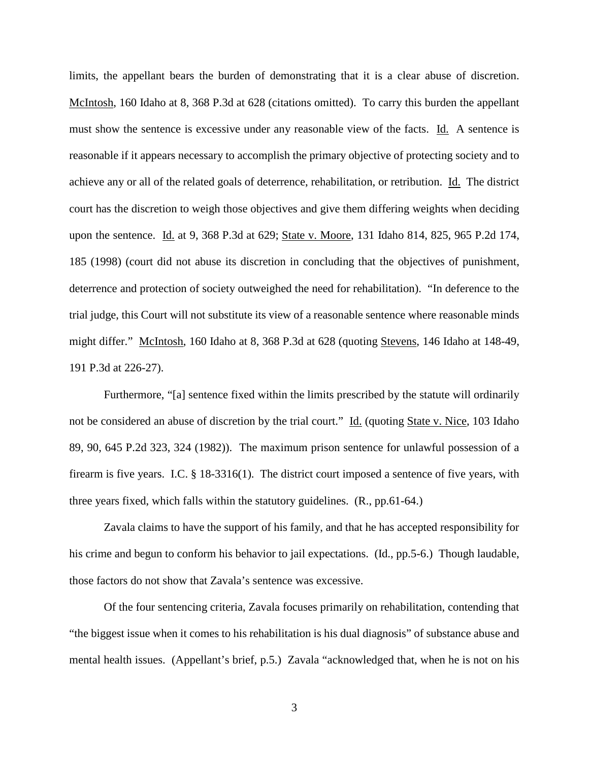limits, the appellant bears the burden of demonstrating that it is a clear abuse of discretion. McIntosh, 160 Idaho at 8, 368 P.3d at 628 (citations omitted). To carry this burden the appellant must show the sentence is excessive under any reasonable view of the facts. Id. A sentence is reasonable if it appears necessary to accomplish the primary objective of protecting society and to achieve any or all of the related goals of deterrence, rehabilitation, or retribution. Id. The district court has the discretion to weigh those objectives and give them differing weights when deciding upon the sentence. Id. at 9, 368 P.3d at 629; State v. Moore, 131 Idaho 814, 825, 965 P.2d 174, 185 (1998) (court did not abuse its discretion in concluding that the objectives of punishment, deterrence and protection of society outweighed the need for rehabilitation). "In deference to the trial judge, this Court will not substitute its view of a reasonable sentence where reasonable minds might differ." McIntosh, 160 Idaho at 8, 368 P.3d at 628 (quoting Stevens, 146 Idaho at 148-49, 191 P.3d at 226-27).

Furthermore, "[a] sentence fixed within the limits prescribed by the statute will ordinarily not be considered an abuse of discretion by the trial court." Id. (quoting State v. Nice, 103 Idaho 89, 90, 645 P.2d 323, 324 (1982)). The maximum prison sentence for unlawful possession of a firearm is five years. I.C. § 18-3316(1). The district court imposed a sentence of five years, with three years fixed, which falls within the statutory guidelines. (R., pp.61-64.)

Zavala claims to have the support of his family, and that he has accepted responsibility for his crime and begun to conform his behavior to jail expectations. (Id., pp. 5-6.) Though laudable, those factors do not show that Zavala's sentence was excessive.

Of the four sentencing criteria, Zavala focuses primarily on rehabilitation, contending that "the biggest issue when it comes to his rehabilitation is his dual diagnosis" of substance abuse and mental health issues. (Appellant's brief, p.5.) Zavala "acknowledged that, when he is not on his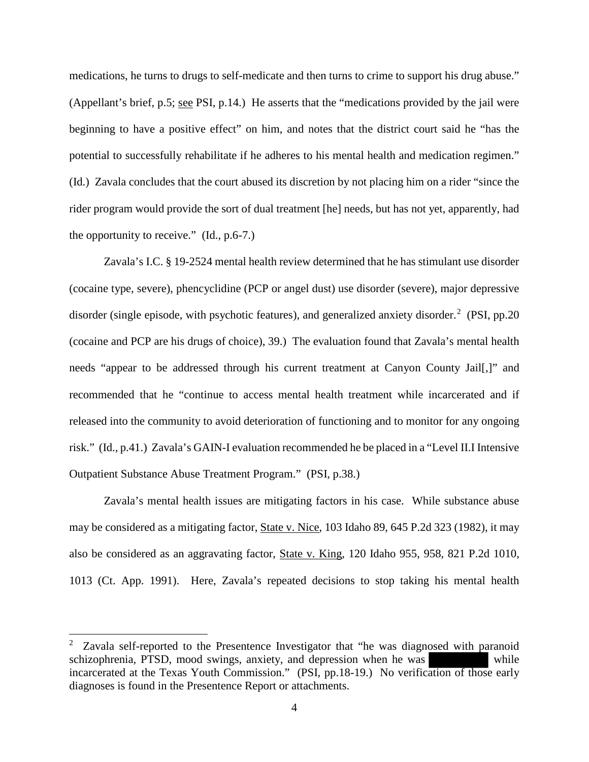medications, he turns to drugs to self-medicate and then turns to crime to support his drug abuse." (Appellant's brief, p.5; see PSI, p.14.) He asserts that the "medications provided by the jail were beginning to have a positive effect" on him, and notes that the district court said he "has the potential to successfully rehabilitate if he adheres to his mental health and medication regimen." (Id.) Zavala concludes that the court abused its discretion by not placing him on a rider "since the rider program would provide the sort of dual treatment [he] needs, but has not yet, apparently, had the opportunity to receive." (Id., p.6-7.)

Zavala's I.C. § 19-2524 mental health review determined that he has stimulant use disorder (cocaine type, severe), phencyclidine (PCP or angel dust) use disorder (severe), major depressive disorder (single episode, with psychotic features), and generalized anxiety disorder.<sup>[2](#page-4-0)</sup> (PSI, pp.20 (cocaine and PCP are his drugs of choice), 39.) The evaluation found that Zavala's mental health needs "appear to be addressed through his current treatment at Canyon County Jail[,]" and recommended that he "continue to access mental health treatment while incarcerated and if released into the community to avoid deterioration of functioning and to monitor for any ongoing risk." (Id., p.41.) Zavala's GAIN-I evaluation recommended he be placed in a "Level II.I Intensive Outpatient Substance Abuse Treatment Program." (PSI, p.38.)

Zavala's mental health issues are mitigating factors in his case. While substance abuse may be considered as a mitigating factor, State v. Nice, 103 Idaho 89, 645 P.2d 323 (1982), it may also be considered as an aggravating factor, State v. King, 120 Idaho 955, 958, 821 P.2d 1010, 1013 (Ct. App. 1991). Here, Zavala's repeated decisions to stop taking his mental health

l

<span id="page-4-0"></span><sup>2</sup> Zavala self-reported to the Presentence Investigator that "he was diagnosed with paranoid schizophrenia, PTSD, mood swings, anxiety, and depression when he was while incarcerated at the Texas Youth Commission." (PSI, pp.18-19.) No verification of those early diagnoses is found in the Presentence Report or attachments.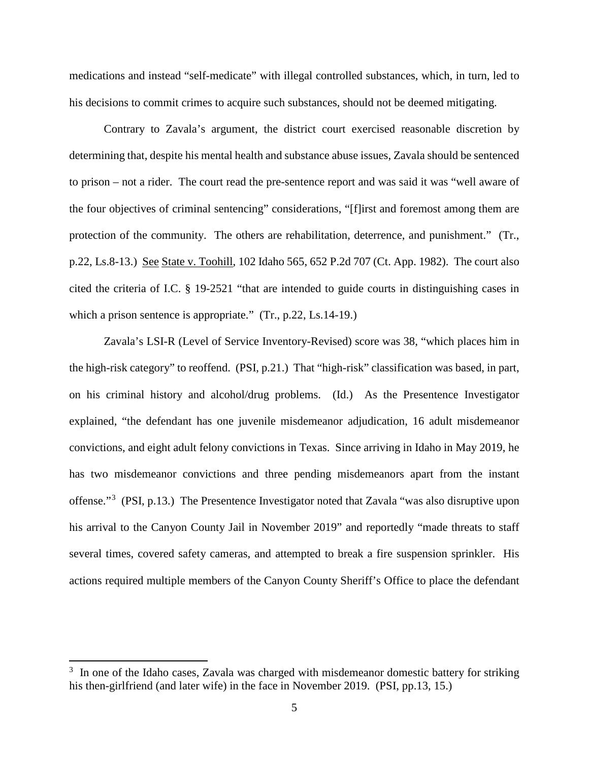medications and instead "self-medicate" with illegal controlled substances, which, in turn, led to his decisions to commit crimes to acquire such substances, should not be deemed mitigating.

Contrary to Zavala's argument, the district court exercised reasonable discretion by determining that, despite his mental health and substance abuse issues, Zavala should be sentenced to prison – not a rider. The court read the pre-sentence report and was said it was "well aware of the four objectives of criminal sentencing" considerations, "[f]irst and foremost among them are protection of the community. The others are rehabilitation, deterrence, and punishment." (Tr., p.22, Ls.8-13.) See State v. Toohill, 102 Idaho 565, 652 P.2d 707 (Ct. App. 1982). The court also cited the criteria of I.C. § 19-2521 "that are intended to guide courts in distinguishing cases in which a prison sentence is appropriate." (Tr., p.22, Ls.14-19.)

Zavala's LSI-R (Level of Service Inventory-Revised) score was 38, "which places him in the high-risk category" to reoffend. (PSI, p.21.) That "high-risk" classification was based, in part, on his criminal history and alcohol/drug problems. (Id.) As the Presentence Investigator explained, "the defendant has one juvenile misdemeanor adjudication, 16 adult misdemeanor convictions, and eight adult felony convictions in Texas. Since arriving in Idaho in May 2019, he has two misdemeanor convictions and three pending misdemeanors apart from the instant offense."<sup>[3](#page-5-0)</sup> (PSI, p.13.) The Presentence Investigator noted that Zavala "was also disruptive upon his arrival to the Canyon County Jail in November 2019" and reportedly "made threats to staff several times, covered safety cameras, and attempted to break a fire suspension sprinkler. His actions required multiple members of the Canyon County Sheriff's Office to place the defendant

 $\overline{a}$ 

<span id="page-5-0"></span> $3\,$  In one of the Idaho cases, Zavala was charged with misdemeanor domestic battery for striking his then-girlfriend (and later wife) in the face in November 2019. (PSI, pp.13, 15.)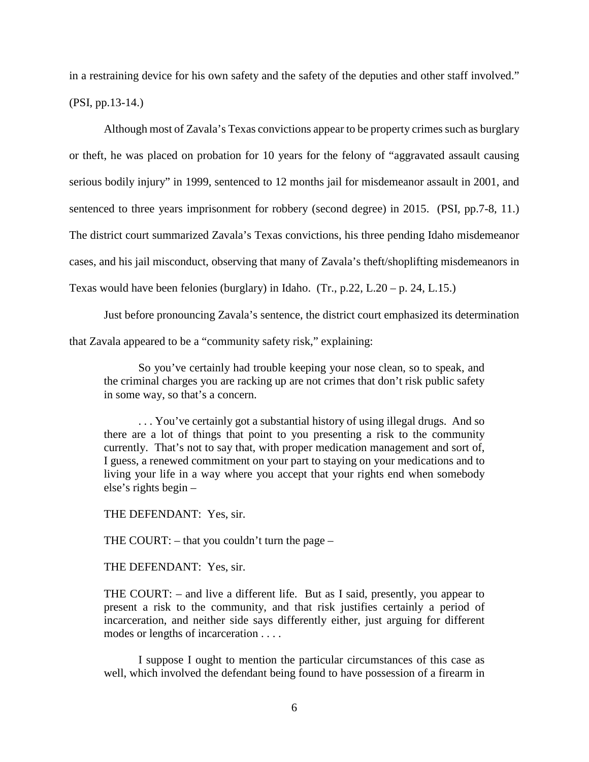in a restraining device for his own safety and the safety of the deputies and other staff involved." (PSI, pp.13-14.)

Although most of Zavala's Texas convictions appear to be property crimes such as burglary or theft, he was placed on probation for 10 years for the felony of "aggravated assault causing serious bodily injury" in 1999, sentenced to 12 months jail for misdemeanor assault in 2001, and sentenced to three years imprisonment for robbery (second degree) in 2015. (PSI, pp.7-8, 11.) The district court summarized Zavala's Texas convictions, his three pending Idaho misdemeanor cases, and his jail misconduct, observing that many of Zavala's theft/shoplifting misdemeanors in Texas would have been felonies (burglary) in Idaho. (Tr., p.22, L.20 – p. 24, L.15.)

Just before pronouncing Zavala's sentence, the district court emphasized its determination that Zavala appeared to be a "community safety risk," explaining:

So you've certainly had trouble keeping your nose clean, so to speak, and the criminal charges you are racking up are not crimes that don't risk public safety in some way, so that's a concern.

. . . You've certainly got a substantial history of using illegal drugs. And so there are a lot of things that point to you presenting a risk to the community currently. That's not to say that, with proper medication management and sort of, I guess, a renewed commitment on your part to staying on your medications and to living your life in a way where you accept that your rights end when somebody else's rights begin –

THE DEFENDANT: Yes, sir.

THE COURT: – that you couldn't turn the page –

THE DEFENDANT: Yes, sir.

THE COURT: – and live a different life. But as I said, presently, you appear to present a risk to the community, and that risk justifies certainly a period of incarceration, and neither side says differently either, just arguing for different modes or lengths of incarceration . . . .

I suppose I ought to mention the particular circumstances of this case as well, which involved the defendant being found to have possession of a firearm in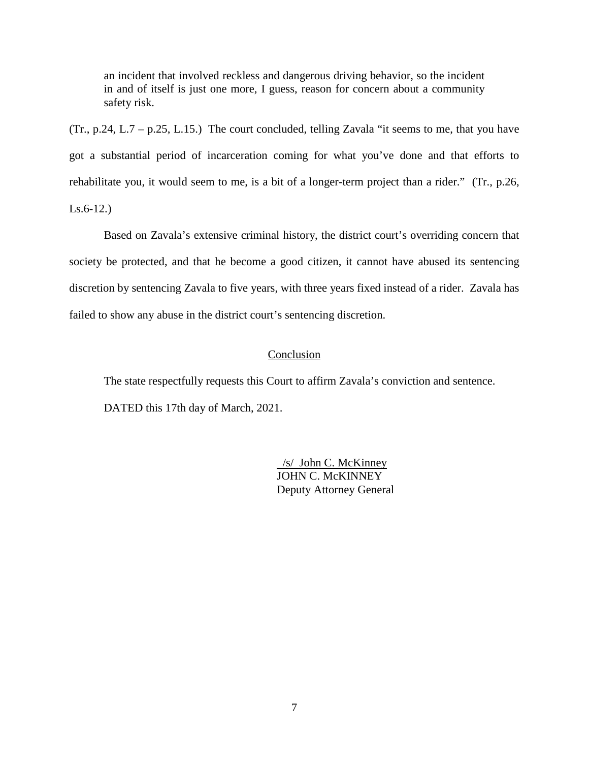an incident that involved reckless and dangerous driving behavior, so the incident in and of itself is just one more, I guess, reason for concern about a community safety risk.

 $(Tr, p.24, L.7 - p.25, L.15.)$  The court concluded, telling Zavala "it seems to me, that you have got a substantial period of incarceration coming for what you've done and that efforts to rehabilitate you, it would seem to me, is a bit of a longer-term project than a rider." (Tr., p.26, Ls.6-12.)

Based on Zavala's extensive criminal history, the district court's overriding concern that society be protected, and that he become a good citizen, it cannot have abused its sentencing discretion by sentencing Zavala to five years, with three years fixed instead of a rider. Zavala has failed to show any abuse in the district court's sentencing discretion.

#### Conclusion

The state respectfully requests this Court to affirm Zavala's conviction and sentence. DATED this 17th day of March, 2021.

> /s/ John C. McKinney JOHN C. McKINNEY Deputy Attorney General